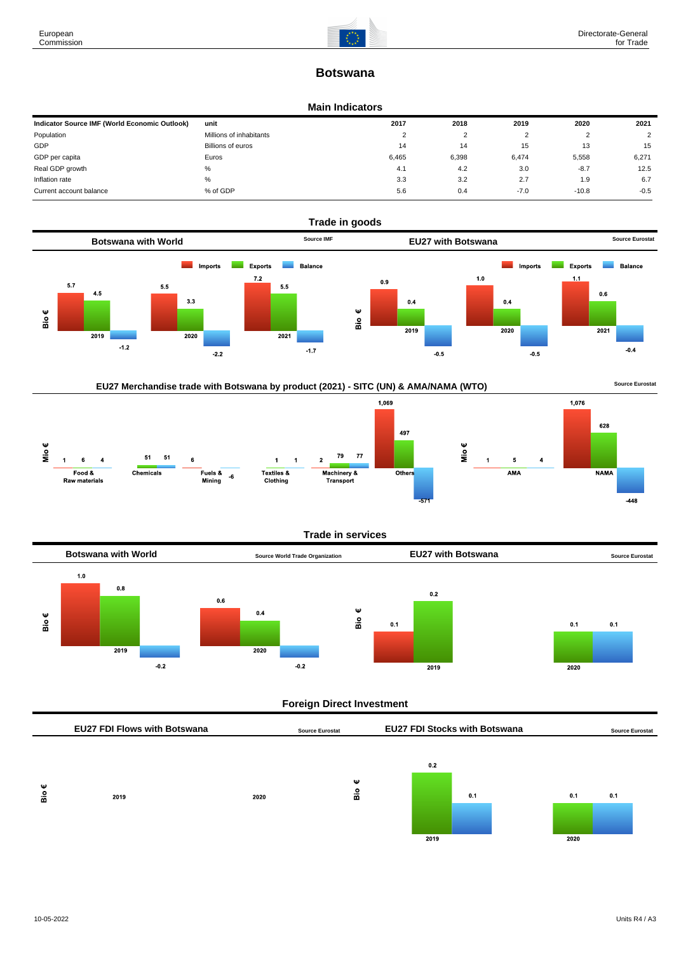# **Botswana**

### **Main Indicators**

| Indicator Source IMF (World Economic Outlook) | unit                    | 2017  | 2018  | 2019   | 2020    | 2021          |
|-----------------------------------------------|-------------------------|-------|-------|--------|---------|---------------|
| Population                                    | Millions of inhabitants |       | ົ     |        |         | $\mathcal{L}$ |
| GDP                                           | Billions of euros       | 14    | 14    | 15     | 13      | 15            |
| GDP per capita                                | Euros                   | 6.465 | 6,398 | 6,474  | 5.558   | 6,271         |
| Real GDP growth                               | %                       | 4.1   | 4.2   | 3.0    | $-8.7$  | 12.5          |
| Inflation rate                                | %                       | 3.3   | 3.2   | 2.7    | 1.9     | 6.7           |
| Current account balance                       | % of GDP                | 5.6   | 0.4   | $-7.0$ | $-10.8$ | $-0.5$        |





### **Trade in services**



# **Foreign Direct Investment**

|        | <b>EU27 FDI Flows with Botswana</b> |      | <b>Source Eurostat</b> | <b>EU27 FDI Stocks with Botswana</b> |     |             | <b>Source Eurostat</b> |  |
|--------|-------------------------------------|------|------------------------|--------------------------------------|-----|-------------|------------------------|--|
| Ψ<br>å | 2019                                | 2020 | ₩<br>å                 | 0.2<br>2019                          | 0.1 | 0.1<br>2020 | 0.1                    |  |